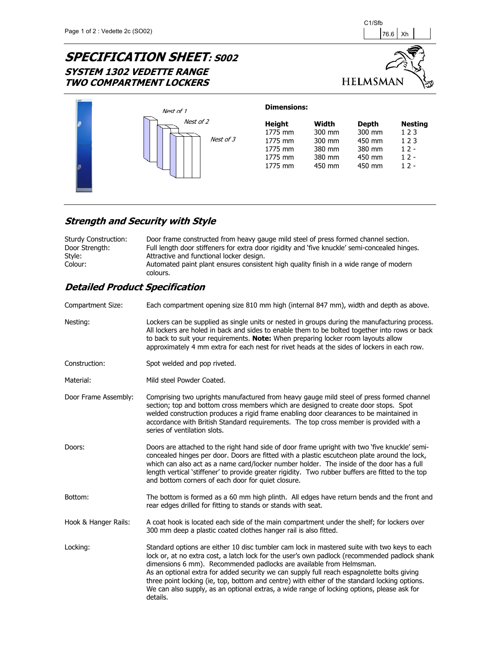# **SPECIFICATION SHEET: S002 SYSTEM 1302 VEDETTE RANGE TWO COMPARTMENT LOCKERS**





### **Strength and Security with Style**

| <b>Sturdy Construction:</b> | Door frame constructed from heavy gauge mild steel of press formed channel section.                |
|-----------------------------|----------------------------------------------------------------------------------------------------|
| Door Strength:              | Full length door stiffeners for extra door rigidity and 'five knuckle' semi-concealed hinges.      |
| Style:                      | Attractive and functional locker design.                                                           |
| Colour:                     | Automated paint plant ensures consistent high quality finish in a wide range of modern<br>colours. |

| Compartment Size:    | Each compartment opening size 810 mm high (internal 847 mm), width and depth as above.                                                                                                                                                                                                                                                                                                                                                                                                                                                                                        |
|----------------------|-------------------------------------------------------------------------------------------------------------------------------------------------------------------------------------------------------------------------------------------------------------------------------------------------------------------------------------------------------------------------------------------------------------------------------------------------------------------------------------------------------------------------------------------------------------------------------|
| Nesting:             | Lockers can be supplied as single units or nested in groups during the manufacturing process.<br>All lockers are holed in back and sides to enable them to be bolted together into rows or back<br>to back to suit your requirements. Note: When preparing locker room layouts allow<br>approximately 4 mm extra for each nest for rivet heads at the sides of lockers in each row.                                                                                                                                                                                           |
| Construction:        | Spot welded and pop riveted.                                                                                                                                                                                                                                                                                                                                                                                                                                                                                                                                                  |
| Material:            | Mild steel Powder Coated.                                                                                                                                                                                                                                                                                                                                                                                                                                                                                                                                                     |
| Door Frame Assembly: | Comprising two uprights manufactured from heavy gauge mild steel of press formed channel<br>section; top and bottom cross members which are designed to create door stops. Spot<br>welded construction produces a rigid frame enabling door clearances to be maintained in<br>accordance with British Standard requirements. The top cross member is provided with a<br>series of ventilation slots.                                                                                                                                                                          |
| Doors:               | Doors are attached to the right hand side of door frame upright with two 'five knuckle' semi-<br>concealed hinges per door. Doors are fitted with a plastic escutcheon plate around the lock,<br>which can also act as a name card/locker number holder. The inside of the door has a full<br>length vertical 'stiffener' to provide greater rigidity. Two rubber buffers are fitted to the top<br>and bottom corners of each door for quiet closure.                                                                                                                         |
| Bottom:              | The bottom is formed as a 60 mm high plinth. All edges have return bends and the front and<br>rear edges drilled for fitting to stands or stands with seat.                                                                                                                                                                                                                                                                                                                                                                                                                   |
| Hook & Hanger Rails: | A coat hook is located each side of the main compartment under the shelf; for lockers over<br>300 mm deep a plastic coated clothes hanger rail is also fitted.                                                                                                                                                                                                                                                                                                                                                                                                                |
| Locking:             | Standard options are either 10 disc tumbler cam lock in mastered suite with two keys to each<br>lock or, at no extra cost, a latch lock for the user's own padlock (recommended padlock shank<br>dimensions 6 mm). Recommended padlocks are available from Helmsman.<br>As an optional extra for added security we can supply full reach espagnolette bolts giving<br>three point locking (ie, top, bottom and centre) with either of the standard locking options.<br>We can also supply, as an optional extras, a wide range of locking options, please ask for<br>details. |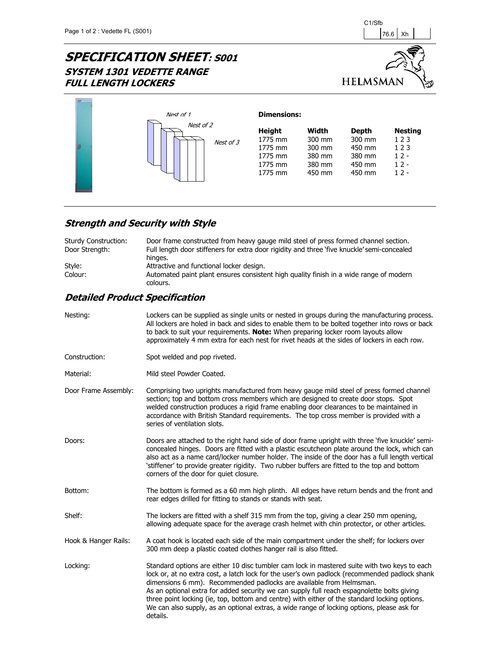$\mathbf{w}$ 

# **SPECIFICATION SHEET: S001 SYSTEM 1301 VEDETTE RANGE FULL LENGTH LOCKERS**



|  | Nest of 1              | <b>Dimensions:</b>                                                   |                                                         |                                                                |                                                            |
|--|------------------------|----------------------------------------------------------------------|---------------------------------------------------------|----------------------------------------------------------------|------------------------------------------------------------|
|  | Nest of 2<br>Nest of 3 | <b>Height</b><br>1775 mm<br>1775 mm<br>1775 mm<br>1775 mm<br>1775 mm | Width<br>300 mm<br>300 mm<br>380 mm<br>380 mm<br>450 mm | <b>Depth</b><br>300 mm<br>450 mm<br>380 mm<br>450 mm<br>450 mm | <b>Nesting</b><br>123<br>123<br>$12 -$<br>$12 -$<br>$12 -$ |

## **Strength and Security with Style**

| Sturdy Construction:<br>Door Strength: | Door frame constructed from heavy gauge mild steel of press formed channel section.<br>Full length door stiffeners for extra door rigidity and three 'five knuckle' semi-concealed<br>hinges. |
|----------------------------------------|-----------------------------------------------------------------------------------------------------------------------------------------------------------------------------------------------|
| Style:                                 | Attractive and functional locker design.                                                                                                                                                      |
| Colour:                                | Automated paint plant ensures consistent high quality finish in a wide range of modern<br>colours.                                                                                            |

| Lockers can be supplied as single units or nested in groups during the manufacturing process.<br>All lockers are holed in back and sides to enable them to be bolted together into rows or back<br>to back to suit your requirements. Note: When preparing locker room layouts allow<br>approximately 4 mm extra for each nest for rivet heads at the sides of lockers in each row.                                                                                                                                                                                           |
|-------------------------------------------------------------------------------------------------------------------------------------------------------------------------------------------------------------------------------------------------------------------------------------------------------------------------------------------------------------------------------------------------------------------------------------------------------------------------------------------------------------------------------------------------------------------------------|
| Spot welded and pop riveted.                                                                                                                                                                                                                                                                                                                                                                                                                                                                                                                                                  |
| Mild steel Powder Coated.                                                                                                                                                                                                                                                                                                                                                                                                                                                                                                                                                     |
| Comprising two uprights manufactured from heavy gauge mild steel of press formed channel<br>section; top and bottom cross members which are designed to create door stops. Spot<br>welded construction produces a rigid frame enabling door clearances to be maintained in<br>accordance with British Standard requirements. The top cross member is provided with a<br>series of ventilation slots.                                                                                                                                                                          |
| Doors are attached to the right hand side of door frame upright with three 'five knuckle' semi-<br>concealed hinges. Doors are fitted with a plastic escutcheon plate around the lock, which can<br>also act as a name card/locker number holder. The inside of the door has a full length vertical<br>'stiffener' to provide greater rigidity. Two rubber buffers are fitted to the top and bottom<br>corners of the door for quiet closure.                                                                                                                                 |
| The bottom is formed as a 60 mm high plinth. All edges have return bends and the front and<br>rear edges drilled for fitting to stands or stands with seat.                                                                                                                                                                                                                                                                                                                                                                                                                   |
| The lockers are fitted with a shelf 315 mm from the top, giving a clear 250 mm opening,<br>allowing adequate space for the average crash helmet with chin protector, or other articles.                                                                                                                                                                                                                                                                                                                                                                                       |
| A coat hook is located each side of the main compartment under the shelf; for lockers over<br>300 mm deep a plastic coated clothes hanger rail is also fitted.                                                                                                                                                                                                                                                                                                                                                                                                                |
| Standard options are either 10 disc tumbler cam lock in mastered suite with two keys to each<br>lock or, at no extra cost, a latch lock for the user's own padlock (recommended padlock shank<br>dimensions 6 mm). Recommended padlocks are available from Helmsman.<br>As an optional extra for added security we can supply full reach espagnolette bolts giving<br>three point locking (ie, top, bottom and centre) with either of the standard locking options.<br>We can also supply, as an optional extras, a wide range of locking options, please ask for<br>details. |
|                                                                                                                                                                                                                                                                                                                                                                                                                                                                                                                                                                               |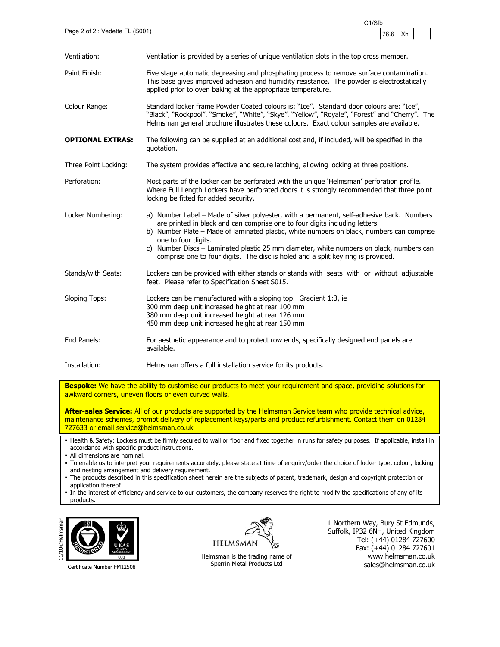

Ventilation: Ventilation is provided by a series of unique ventilation slots in the top cross member. Paint Finish: Five stage automatic degreasing and phosphating process to remove surface contamination. This base gives improved adhesion and humidity resistance. The powder is electrostatically applied prior to oven baking at the appropriate temperature. Colour Range: Standard locker frame Powder Coated colours is: "Ice". Standard door colours are: "Ice" "Black", "Rockpool", "Smoke", "White", "Skye", "Yellow", "Royale", "Forest" and "Cherry". The Helmsman general brochure illustrates these colours. Exact colour samples are available. **OPTIONAL EXTRAS:** The following can be supplied at an additional cost and, if included, will be specified in the quotation. Three Point Locking: The system provides effective and secure latching, allowing locking at three positions. Perforation: Most parts of the locker can be perforated with the unique 'Helmsman' perforation profile. Where Full Length Lockers have perforated doors it is strongly recommended that three point locking be fitted for added security. Locker Numbering: a) Number Label – Made of silver polyester, with a permanent, self-adhesive back. Numbers are printed in black and can comprise one to four digits including letters. b) Number Plate – Made of laminated plastic, white numbers on black, numbers can comprise one to four digits. c) Number Discs – Laminated plastic 25 mm diameter, white numbers on black, numbers can comprise one to four digits. The disc is holed and a split key ring is provided. Stands/with Seats: Lockers can be provided with either stands or stands with seats with or without adjustable feet. Please refer to Specification Sheet S015. Sloping Tops: Lockers can be manufactured with a sloping top. Gradient 1:3, ie 300 mm deep unit increased height at rear 100 mm 380 mm deep unit increased height at rear 126 mm 450 mm deep unit increased height at rear 150 mm End Panels: For aesthetic appearance and to protect row ends, specifically designed end panels are available. Installation: Helmsman offers a full installation service for its products.

**Bespoke:** We have the ability to customise our products to meet your requirement and space, providing solutions for awkward corners, uneven floors or even curved walls.

**After-sales Service:** All of our products are supported by the Helmsman Service team who provide technical advice, maintenance schemes, prompt delivery of replacement keys/parts and product refurbishment. Contact them on 01284 727633 or email service@helmsman.co.uk

 Health & Safety: Lockers must be firmly secured to wall or floor and fixed together in runs for safety purposes. If applicable, install in accordance with specific product instructions.

- All dimensions are nominal.
- To enable us to interpret your requirements accurately, please state at time of enquiry/order the choice of locker type, colour, locking and nesting arrangement and delivery requirement.
- The products described in this specification sheet herein are the subjects of patent, trademark, design and copyright protection or application thereof.
- In the interest of efficiency and service to our customers, the company reserves the right to modify the specifications of any of its products.



Certificate Number FM12508



Helmsman is the trading name of Sperrin Metal Products Ltd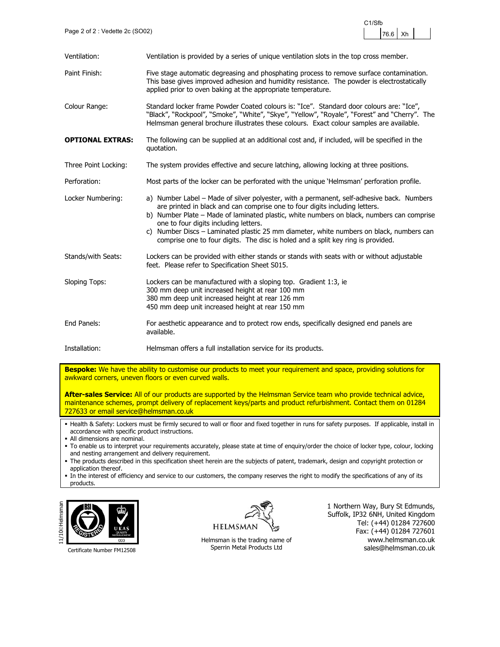

| Ventilation:            | Ventilation is provided by a series of unique ventilation slots in the top cross member.                                                                                                                                                                                                                                                                                                                                                                                                      |
|-------------------------|-----------------------------------------------------------------------------------------------------------------------------------------------------------------------------------------------------------------------------------------------------------------------------------------------------------------------------------------------------------------------------------------------------------------------------------------------------------------------------------------------|
| Paint Finish:           | Five stage automatic degreasing and phosphating process to remove surface contamination.<br>This base gives improved adhesion and humidity resistance. The powder is electrostatically<br>applied prior to oven baking at the appropriate temperature.                                                                                                                                                                                                                                        |
| Colour Range:           | Standard locker frame Powder Coated colours is: "Ice". Standard door colours are: "Ice",<br>"Black", "Rockpool", "Smoke", "White", "Skye", "Yellow", "Royale", "Forest" and "Cherry". The<br>Helmsman general brochure illustrates these colours. Exact colour samples are available.                                                                                                                                                                                                         |
| <b>OPTIONAL EXTRAS:</b> | The following can be supplied at an additional cost and, if included, will be specified in the<br>quotation.                                                                                                                                                                                                                                                                                                                                                                                  |
| Three Point Locking:    | The system provides effective and secure latching, allowing locking at three positions.                                                                                                                                                                                                                                                                                                                                                                                                       |
| Perforation:            | Most parts of the locker can be perforated with the unique 'Helmsman' perforation profile.                                                                                                                                                                                                                                                                                                                                                                                                    |
| Locker Numbering:       | a) Number Label – Made of silver polyester, with a permanent, self-adhesive back. Numbers<br>are printed in black and can comprise one to four digits including letters.<br>b) Number Plate – Made of laminated plastic, white numbers on black, numbers can comprise<br>one to four digits including letters.<br>c) Number Discs - Laminated plastic 25 mm diameter, white numbers on black, numbers can<br>comprise one to four digits. The disc is holed and a split key ring is provided. |
| Stands/with Seats:      | Lockers can be provided with either stands or stands with seats with or without adjustable<br>feet. Please refer to Specification Sheet S015.                                                                                                                                                                                                                                                                                                                                                 |
| <b>Sloping Tops:</b>    | Lockers can be manufactured with a sloping top. Gradient 1:3, ie<br>300 mm deep unit increased height at rear 100 mm<br>380 mm deep unit increased height at rear 126 mm<br>450 mm deep unit increased height at rear 150 mm                                                                                                                                                                                                                                                                  |
| End Panels:             | For aesthetic appearance and to protect row ends, specifically designed end panels are<br>available.                                                                                                                                                                                                                                                                                                                                                                                          |
| Installation:           | Helmsman offers a full installation service for its products.                                                                                                                                                                                                                                                                                                                                                                                                                                 |

**After-sales Service:** All of our products are supported by the Helmsman Service team who provide technical advice, maintenance schemes, prompt delivery of replacement keys/parts and product refurbishment. Contact them on 01284 727633 or email service@helmsman.co.uk

 Health & Safety: Lockers must be firmly secured to wall or floor and fixed together in runs for safety purposes. If applicable, install in accordance with specific product instructions.

All dimensions are nominal.

 To enable us to interpret your requirements accurately, please state at time of enquiry/order the choice of locker type, colour, locking and nesting arrangement and delivery requirement.

 The products described in this specification sheet herein are the subjects of patent, trademark, design and copyright protection or application thereof.

 In the interest of efficiency and service to our customers, the company reserves the right to modify the specifications of any of its products.



Certificate Number FM12508



Helmsman is the trading name of Sperrin Metal Products Ltd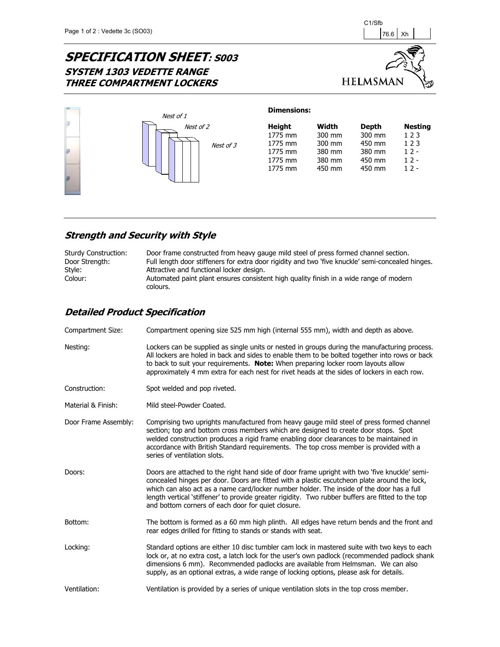## **SPECIFICATION SHEET: S003 SYSTEM 1303 VEDETTE RANGE THREE COMPARTMENT LOCKERS**





### **Strength and Security with Style**

| <b>Sturdy Construction:</b><br>Door Strength:<br>Style: | Door frame constructed from heavy gauge mild steel of press formed channel section.<br>Full length door stiffeners for extra door rigidity and two 'five knuckle' semi-concealed hinges.<br>Attractive and functional locker design. |
|---------------------------------------------------------|--------------------------------------------------------------------------------------------------------------------------------------------------------------------------------------------------------------------------------------|
| Colour:                                                 | Automated paint plant ensures consistent high quality finish in a wide range of modern                                                                                                                                               |
|                                                         | colours.                                                                                                                                                                                                                             |

| Compartment Size:    | Compartment opening size 525 mm high (internal 555 mm), width and depth as above.                                                                                                                                                                                                                                                                                                                                                                     |
|----------------------|-------------------------------------------------------------------------------------------------------------------------------------------------------------------------------------------------------------------------------------------------------------------------------------------------------------------------------------------------------------------------------------------------------------------------------------------------------|
| Nesting:             | Lockers can be supplied as single units or nested in groups during the manufacturing process.<br>All lockers are holed in back and sides to enable them to be bolted together into rows or back<br>to back to suit your requirements. Note: When preparing locker room layouts allow<br>approximately 4 mm extra for each nest for rivet heads at the sides of lockers in each row.                                                                   |
| Construction:        | Spot welded and pop riveted.                                                                                                                                                                                                                                                                                                                                                                                                                          |
| Material & Finish:   | Mild steel-Powder Coated.                                                                                                                                                                                                                                                                                                                                                                                                                             |
| Door Frame Assembly: | Comprising two uprights manufactured from heavy gauge mild steel of press formed channel<br>section; top and bottom cross members which are designed to create door stops. Spot<br>welded construction produces a rigid frame enabling door clearances to be maintained in<br>accordance with British Standard requirements. The top cross member is provided with a<br>series of ventilation slots.                                                  |
| Doors:               | Doors are attached to the right hand side of door frame upright with two 'five knuckle' semi-<br>concealed hinges per door. Doors are fitted with a plastic escutcheon plate around the lock,<br>which can also act as a name card/locker number holder. The inside of the door has a full<br>length vertical 'stiffener' to provide greater rigidity. Two rubber buffers are fitted to the top<br>and bottom corners of each door for quiet closure. |
| Bottom:              | The bottom is formed as a 60 mm high plinth. All edges have return bends and the front and<br>rear edges drilled for fitting to stands or stands with seat.                                                                                                                                                                                                                                                                                           |
| Locking:             | Standard options are either 10 disc tumbler cam lock in mastered suite with two keys to each<br>lock or, at no extra cost, a latch lock for the user's own padlock (recommended padlock shank<br>dimensions 6 mm). Recommended padlocks are available from Helmsman. We can also<br>supply, as an optional extras, a wide range of locking options, please ask for details.                                                                           |
| Ventilation:         | Ventilation is provided by a series of unique ventilation slots in the top cross member.                                                                                                                                                                                                                                                                                                                                                              |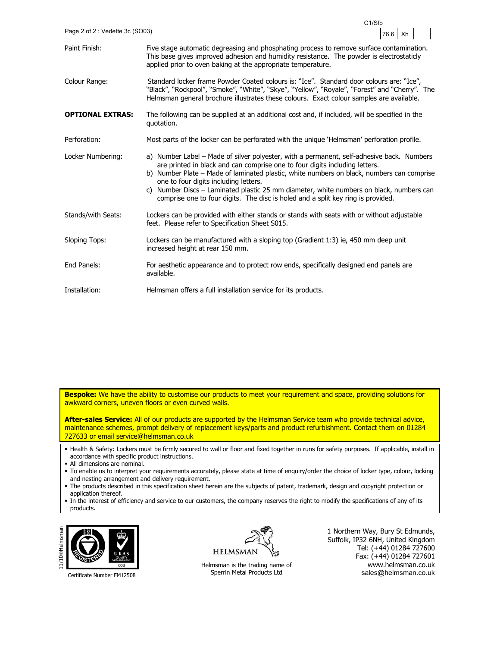| Page 2 of 2: Vedette 3c (SO03) |                                                                                                                                                                                                                                                                                                                                                                                                                                                                                                  | 76.6<br>Xh |
|--------------------------------|--------------------------------------------------------------------------------------------------------------------------------------------------------------------------------------------------------------------------------------------------------------------------------------------------------------------------------------------------------------------------------------------------------------------------------------------------------------------------------------------------|------------|
| Paint Finish:                  | Five stage automatic degreasing and phosphating process to remove surface contamination.<br>This base gives improved adhesion and humidity resistance. The powder is electrostaticly<br>applied prior to oven baking at the appropriate temperature.                                                                                                                                                                                                                                             |            |
| Colour Range:                  | Standard locker frame Powder Coated colours is: "Ice". Standard door colours are: "Ice",<br>"Black", "Rockpool", "Smoke", "White", "Skye", "Yellow", "Royale", "Forest" and "Cherry". The<br>Helmsman general brochure illustrates these colours. Exact colour samples are available.                                                                                                                                                                                                            |            |
| <b>OPTIONAL EXTRAS:</b>        | The following can be supplied at an additional cost and, if included, will be specified in the<br>quotation.                                                                                                                                                                                                                                                                                                                                                                                     |            |
| Perforation:                   | Most parts of the locker can be perforated with the unique 'Helmsman' perforation profile.                                                                                                                                                                                                                                                                                                                                                                                                       |            |
| Locker Numbering:              | a) Number Label – Made of silver polyester, with a permanent, self-adhesive back. Numbers<br>are printed in black and can comprise one to four digits including letters.<br>b) Number Plate – Made of laminated plastic, white numbers on black, numbers can comprise<br>one to four digits including letters.<br>Number Discs - Laminated plastic 25 mm diameter, white numbers on black, numbers can<br>C)<br>comprise one to four digits. The disc is holed and a split key ring is provided. |            |
| Stands/with Seats:             | Lockers can be provided with either stands or stands with seats with or without adjustable<br>feet. Please refer to Specification Sheet S015.                                                                                                                                                                                                                                                                                                                                                    |            |
| <b>Sloping Tops:</b>           | Lockers can be manufactured with a sloping top (Gradient 1:3) ie, 450 mm deep unit<br>increased height at rear 150 mm.                                                                                                                                                                                                                                                                                                                                                                           |            |
| End Panels:                    | For aesthetic appearance and to protect row ends, specifically designed end panels are<br>available.                                                                                                                                                                                                                                                                                                                                                                                             |            |
| Installation:                  | Helmsman offers a full installation service for its products.                                                                                                                                                                                                                                                                                                                                                                                                                                    |            |

**After-sales Service:** All of our products are supported by the Helmsman Service team who provide technical advice, maintenance schemes, prompt delivery of replacement keys/parts and product refurbishment. Contact them on 01284 727633 or email service@helmsman.co.uk

- Health & Safety: Lockers must be firmly secured to wall or floor and fixed together in runs for safety purposes. If applicable, install in accordance with specific product instructions.
- All dimensions are nominal.
- To enable us to interpret your requirements accurately, please state at time of enquiry/order the choice of locker type, colour, locking and nesting arrangement and delivery requirement.
- The products described in this specification sheet herein are the subjects of patent, trademark, design and copyright protection or application thereof.
- In the interest of efficiency and service to our customers, the company reserves the right to modify the specifications of any of its products.



Certificate Number FM12508

**HELMSMAN** 

Helmsman is the trading name of Sperrin Metal Products Ltd

1 Northern Way, Bury St Edmunds, Suffolk, IP32 6NH, United Kingdom Tel: (+44) 01284 727600 Fax: (+44) 01284 727601 www.helmsman.co.uk sales@helmsman.co.uk

C<sub>1</sub>/Sf<sub>b</sub>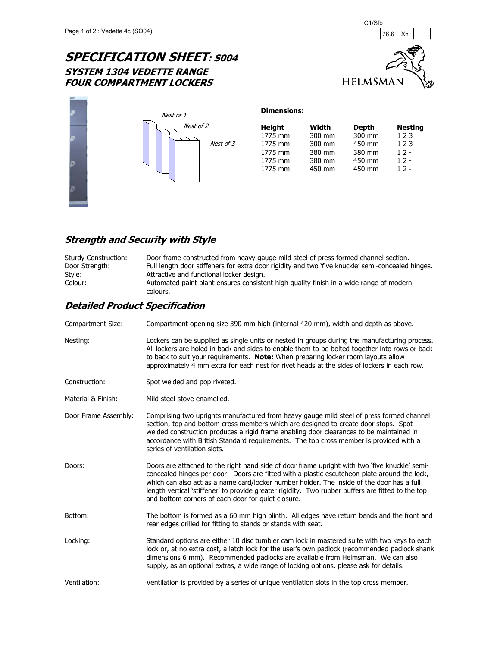# **SPECIFICATION SHEET: S004 SYSTEM 1304 VEDETTE RANGE FOUR COMPARTMENT LOCKERS**





#### **Strength and Security with Style**

| Sturdy Construction: | Door frame constructed from heavy gauge mild steel of press formed channel section.               |
|----------------------|---------------------------------------------------------------------------------------------------|
| Door Strength:       | Full length door stiffeners for extra door rigidity and two 'five knuckle' semi-concealed hinges. |
| Style:               | Attractive and functional locker design.                                                          |
| Colour:              | Automated paint plant ensures consistent high quality finish in a wide range of modern            |
|                      | colours.                                                                                          |

| Compartment Size:    | Compartment opening size 390 mm high (internal 420 mm), width and depth as above.                                                                                                                                                                                                                                                                                                                                                                     |
|----------------------|-------------------------------------------------------------------------------------------------------------------------------------------------------------------------------------------------------------------------------------------------------------------------------------------------------------------------------------------------------------------------------------------------------------------------------------------------------|
| Nesting:             | Lockers can be supplied as single units or nested in groups during the manufacturing process.<br>All lockers are holed in back and sides to enable them to be bolted together into rows or back<br>to back to suit your requirements. Note: When preparing locker room layouts allow<br>approximately 4 mm extra for each nest for rivet heads at the sides of lockers in each row.                                                                   |
| Construction:        | Spot welded and pop riveted.                                                                                                                                                                                                                                                                                                                                                                                                                          |
| Material & Finish:   | Mild steel-stove enamelled.                                                                                                                                                                                                                                                                                                                                                                                                                           |
| Door Frame Assembly: | Comprising two uprights manufactured from heavy gauge mild steel of press formed channel<br>section; top and bottom cross members which are designed to create door stops. Spot<br>welded construction produces a rigid frame enabling door clearances to be maintained in<br>accordance with British Standard requirements. The top cross member is provided with a<br>series of ventilation slots.                                                  |
| Doors:               | Doors are attached to the right hand side of door frame upright with two 'five knuckle' semi-<br>concealed hinges per door. Doors are fitted with a plastic escutcheon plate around the lock,<br>which can also act as a name card/locker number holder. The inside of the door has a full<br>length vertical 'stiffener' to provide greater rigidity. Two rubber buffers are fitted to the top<br>and bottom corners of each door for quiet closure. |
| Bottom:              | The bottom is formed as a 60 mm high plinth. All edges have return bends and the front and<br>rear edges drilled for fitting to stands or stands with seat.                                                                                                                                                                                                                                                                                           |
| Locking:             | Standard options are either 10 disc tumbler cam lock in mastered suite with two keys to each<br>lock or, at no extra cost, a latch lock for the user's own padlock (recommended padlock shank<br>dimensions 6 mm). Recommended padlocks are available from Helmsman. We can also<br>supply, as an optional extras, a wide range of locking options, please ask for details.                                                                           |
| Ventilation:         | Ventilation is provided by a series of unique ventilation slots in the top cross member.                                                                                                                                                                                                                                                                                                                                                              |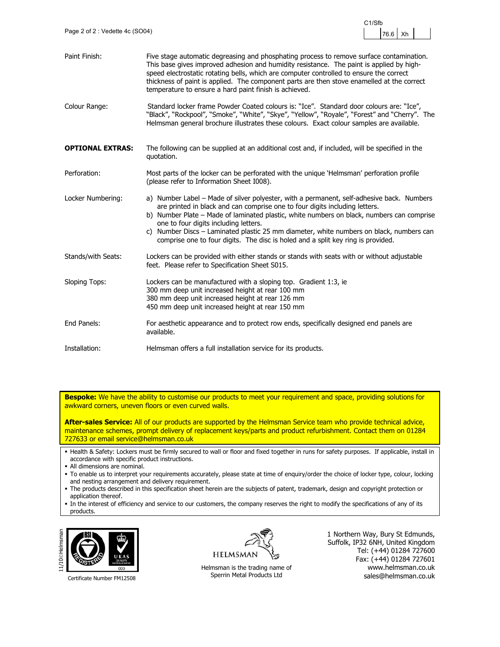

| Paint Finish:           | Five stage automatic degreasing and phosphating process to remove surface contamination.<br>This base gives improved adhesion and humidity resistance. The paint is applied by high-<br>speed electrostatic rotating bells, which are computer controlled to ensure the correct<br>thickness of paint is applied. The component parts are then stove enamelled at the correct<br>temperature to ensure a hard paint finish is achieved.                                                       |
|-------------------------|-----------------------------------------------------------------------------------------------------------------------------------------------------------------------------------------------------------------------------------------------------------------------------------------------------------------------------------------------------------------------------------------------------------------------------------------------------------------------------------------------|
| Colour Range:           | Standard locker frame Powder Coated colours is: "Ice". Standard door colours are: "Ice",<br>"Black", "Rockpool", "Smoke", "White", "Skye", "Yellow", "Royale", "Forest" and "Cherry". The<br>Helmsman general brochure illustrates these colours. Exact colour samples are available.                                                                                                                                                                                                         |
| <b>OPTIONAL EXTRAS:</b> | The following can be supplied at an additional cost and, if included, will be specified in the<br>quotation.                                                                                                                                                                                                                                                                                                                                                                                  |
| Perforation:            | Most parts of the locker can be perforated with the unique 'Helmsman' perforation profile<br>(please refer to Information Sheet I008).                                                                                                                                                                                                                                                                                                                                                        |
| Locker Numbering:       | a) Number Label – Made of silver polyester, with a permanent, self-adhesive back. Numbers<br>are printed in black and can comprise one to four digits including letters.<br>b) Number Plate - Made of laminated plastic, white numbers on black, numbers can comprise<br>one to four digits including letters.<br>c) Number Discs - Laminated plastic 25 mm diameter, white numbers on black, numbers can<br>comprise one to four digits. The disc is holed and a split key ring is provided. |
| Stands/with Seats:      | Lockers can be provided with either stands or stands with seats with or without adjustable<br>feet. Please refer to Specification Sheet S015.                                                                                                                                                                                                                                                                                                                                                 |
| <b>Sloping Tops:</b>    | Lockers can be manufactured with a sloping top. Gradient 1:3, ie<br>300 mm deep unit increased height at rear 100 mm<br>380 mm deep unit increased height at rear 126 mm<br>450 mm deep unit increased height at rear 150 mm                                                                                                                                                                                                                                                                  |
| End Panels:             | For aesthetic appearance and to protect row ends, specifically designed end panels are<br>available.                                                                                                                                                                                                                                                                                                                                                                                          |
| Installation:           | Helmsman offers a full installation service for its products.                                                                                                                                                                                                                                                                                                                                                                                                                                 |

**After-sales Service:** All of our products are supported by the Helmsman Service team who provide technical advice, maintenance schemes, prompt delivery of replacement keys/parts and product refurbishment. Contact them on 01284 727633 or email service@helmsman.co.uk

- Health & Safety: Lockers must be firmly secured to wall or floor and fixed together in runs for safety purposes. If applicable, install in accordance with specific product instructions.
- All dimensions are nominal.
- To enable us to interpret your requirements accurately, please state at time of enquiry/order the choice of locker type, colour, locking and nesting arrangement and delivery requirement.
- The products described in this specification sheet herein are the subjects of patent, trademark, design and copyright protection or application thereof.
- In the interest of efficiency and service to our customers, the company reserves the right to modify the specifications of any of its products.



Certificate Number FM12508

**HELMSMAN** 

Helmsman is the trading name of Sperrin Metal Products Ltd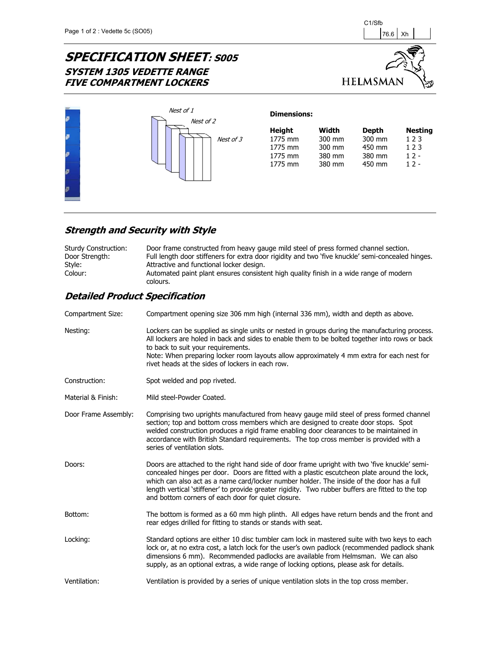# **SPECIFICATION SHEET: S005 SYSTEM 1305 VEDETTE RANGE FIVE COMPARTMENT LOCKERS**





### **Strength and Security with Style**

| Sturdy Construction: | Door frame constructed from heavy gauge mild steel of press formed channel section.                |
|----------------------|----------------------------------------------------------------------------------------------------|
| Door Strength:       | Full length door stiffeners for extra door rigidity and two 'five knuckle' semi-concealed hinges.  |
| Style:               | Attractive and functional locker design.                                                           |
| Colour:              | Automated paint plant ensures consistent high quality finish in a wide range of modern<br>colours. |

| Compartment Size:    | Compartment opening size 306 mm high (internal 336 mm), width and depth as above.                                                                                                                                                                                                                                                                                                                                                                     |
|----------------------|-------------------------------------------------------------------------------------------------------------------------------------------------------------------------------------------------------------------------------------------------------------------------------------------------------------------------------------------------------------------------------------------------------------------------------------------------------|
| Nesting:             | Lockers can be supplied as single units or nested in groups during the manufacturing process.<br>All lockers are holed in back and sides to enable them to be bolted together into rows or back<br>to back to suit your requirements.<br>Note: When preparing locker room layouts allow approximately 4 mm extra for each nest for<br>rivet heads at the sides of lockers in each row.                                                                |
| Construction:        | Spot welded and pop riveted.                                                                                                                                                                                                                                                                                                                                                                                                                          |
| Material & Finish:   | Mild steel-Powder Coated.                                                                                                                                                                                                                                                                                                                                                                                                                             |
| Door Frame Assembly: | Comprising two uprights manufactured from heavy gauge mild steel of press formed channel<br>section; top and bottom cross members which are designed to create door stops. Spot<br>welded construction produces a rigid frame enabling door clearances to be maintained in<br>accordance with British Standard requirements. The top cross member is provided with a<br>series of ventilation slots.                                                  |
| Doors:               | Doors are attached to the right hand side of door frame upright with two 'five knuckle' semi-<br>concealed hinges per door. Doors are fitted with a plastic escutcheon plate around the lock,<br>which can also act as a name card/locker number holder. The inside of the door has a full<br>length vertical 'stiffener' to provide greater rigidity. Two rubber buffers are fitted to the top<br>and bottom corners of each door for quiet closure. |
| Bottom:              | The bottom is formed as a 60 mm high plinth. All edges have return bends and the front and<br>rear edges drilled for fitting to stands or stands with seat.                                                                                                                                                                                                                                                                                           |
| Locking:             | Standard options are either 10 disc tumbler cam lock in mastered suite with two keys to each<br>lock or, at no extra cost, a latch lock for the user's own padlock (recommended padlock shank<br>dimensions 6 mm). Recommended padlocks are available from Helmsman. We can also<br>supply, as an optional extras, a wide range of locking options, please ask for details.                                                                           |
| Ventilation:         | Ventilation is provided by a series of unique ventilation slots in the top cross member.                                                                                                                                                                                                                                                                                                                                                              |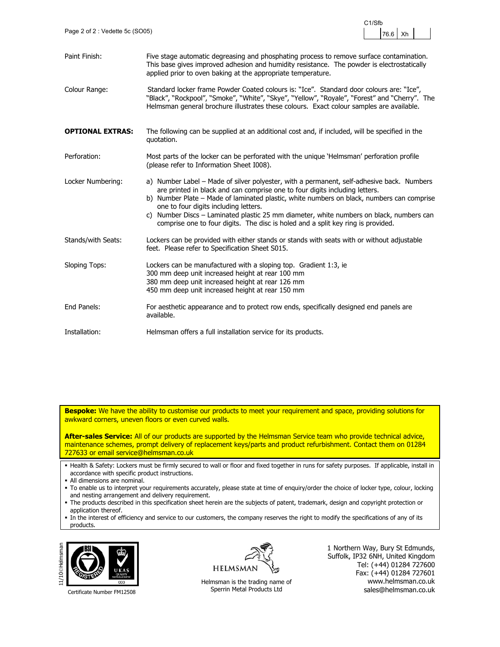

| Paint Finish:           | Five stage automatic degreasing and phosphating process to remove surface contamination.<br>This base gives improved adhesion and humidity resistance. The powder is electrostatically<br>applied prior to oven baking at the appropriate temperature.                                                                                                                                                                                                                                        |
|-------------------------|-----------------------------------------------------------------------------------------------------------------------------------------------------------------------------------------------------------------------------------------------------------------------------------------------------------------------------------------------------------------------------------------------------------------------------------------------------------------------------------------------|
| Colour Range:           | Standard locker frame Powder Coated colours is: "Ice". Standard door colours are: "Ice",<br>"Black", "Rockpool", "Smoke", "White", "Skye", "Yellow", "Royale", "Forest" and "Cherry". The<br>Helmsman general brochure illustrates these colours. Exact colour samples are available.                                                                                                                                                                                                         |
| <b>OPTIONAL EXTRAS:</b> | The following can be supplied at an additional cost and, if included, will be specified in the<br>quotation.                                                                                                                                                                                                                                                                                                                                                                                  |
| Perforation:            | Most parts of the locker can be perforated with the unique 'Helmsman' perforation profile<br>(please refer to Information Sheet I008).                                                                                                                                                                                                                                                                                                                                                        |
| Locker Numbering:       | a) Number Label – Made of silver polyester, with a permanent, self-adhesive back. Numbers<br>are printed in black and can comprise one to four digits including letters.<br>b) Number Plate - Made of laminated plastic, white numbers on black, numbers can comprise<br>one to four digits including letters.<br>c) Number Discs – Laminated plastic 25 mm diameter, white numbers on black, numbers can<br>comprise one to four digits. The disc is holed and a split key ring is provided. |
| Stands/with Seats:      | Lockers can be provided with either stands or stands with seats with or without adjustable<br>feet. Please refer to Specification Sheet S015.                                                                                                                                                                                                                                                                                                                                                 |
| <b>Sloping Tops:</b>    | Lockers can be manufactured with a sloping top. Gradient 1:3, ie<br>300 mm deep unit increased height at rear 100 mm<br>380 mm deep unit increased height at rear 126 mm<br>450 mm deep unit increased height at rear 150 mm                                                                                                                                                                                                                                                                  |
| End Panels:             | For aesthetic appearance and to protect row ends, specifically designed end panels are<br>available.                                                                                                                                                                                                                                                                                                                                                                                          |
| Installation:           | Helmsman offers a full installation service for its products.                                                                                                                                                                                                                                                                                                                                                                                                                                 |

**After-sales Service:** All of our products are supported by the Helmsman Service team who provide technical advice, maintenance schemes, prompt delivery of replacement keys/parts and product refurbishment. Contact them on 01284 727633 or email service@helmsman.co.uk

- Health & Safety: Lockers must be firmly secured to wall or floor and fixed together in runs for safety purposes. If applicable, install in accordance with specific product instructions.
- All dimensions are nominal.
- To enable us to interpret your requirements accurately, please state at time of enquiry/order the choice of locker type, colour, locking and nesting arrangement and delivery requirement.
- The products described in this specification sheet herein are the subjects of patent, trademark, design and copyright protection or application thereof.
- In the interest of efficiency and service to our customers, the company reserves the right to modify the specifications of any of its products.



Certificate Number FM12508



Helmsman is the trading name of Sperrin Metal Products Ltd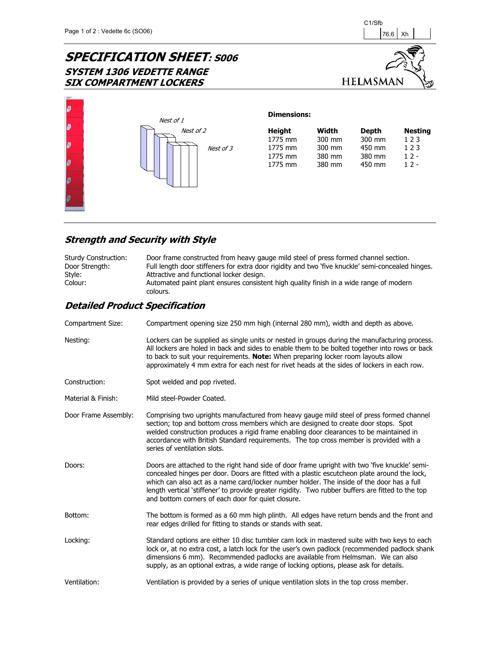# **SPECIFICATION SHEET**: S006 **SYSTEM 1306 VEDETTE RANGE SIX COMPARTMENT LOCKERS**





### **Strength and Security with Style**

| Sturdy Construction: | Door frame constructed from heavy gauge mild steel of press formed channel section.               |
|----------------------|---------------------------------------------------------------------------------------------------|
| Door Strength:       | Full length door stiffeners for extra door rigidity and two 'five knuckle' semi-concealed hinges. |
| Style:               | Attractive and functional locker design.                                                          |
| Colour:              | Automated paint plant ensures consistent high quality finish in a wide range of modern            |
|                      | colours.                                                                                          |

| Compartment Size:    | Compartment opening size 250 mm high (internal 280 mm), width and depth as above.                                                                                                                                                                                                                                                                                                                                                                     |
|----------------------|-------------------------------------------------------------------------------------------------------------------------------------------------------------------------------------------------------------------------------------------------------------------------------------------------------------------------------------------------------------------------------------------------------------------------------------------------------|
| Nesting:             | Lockers can be supplied as single units or nested in groups during the manufacturing process.<br>All lockers are holed in back and sides to enable them to be bolted together into rows or back<br>to back to suit your requirements. Note: When preparing locker room layouts allow<br>approximately 4 mm extra for each nest for rivet heads at the sides of lockers in each row.                                                                   |
| Construction:        | Spot welded and pop riveted.                                                                                                                                                                                                                                                                                                                                                                                                                          |
| Material & Finish:   | Mild steel-Powder Coated.                                                                                                                                                                                                                                                                                                                                                                                                                             |
| Door Frame Assembly: | Comprising two uprights manufactured from heavy gauge mild steel of press formed channel<br>section; top and bottom cross members which are designed to create door stops. Spot<br>welded construction produces a rigid frame enabling door clearances to be maintained in<br>accordance with British Standard requirements. The top cross member is provided with a<br>series of ventilation slots.                                                  |
| Doors:               | Doors are attached to the right hand side of door frame upright with two 'five knuckle' semi-<br>concealed hinges per door. Doors are fitted with a plastic escutcheon plate around the lock,<br>which can also act as a name card/locker number holder. The inside of the door has a full<br>length vertical 'stiffener' to provide greater rigidity. Two rubber buffers are fitted to the top<br>and bottom corners of each door for quiet closure. |
| Bottom:              | The bottom is formed as a 60 mm high plinth. All edges have return bends and the front and<br>rear edges drilled for fitting to stands or stands with seat.                                                                                                                                                                                                                                                                                           |
| Locking:             | Standard options are either 10 disc tumbler cam lock in mastered suite with two keys to each<br>lock or, at no extra cost, a latch lock for the user's own padlock (recommended padlock shank<br>dimensions 6 mm). Recommended padlocks are available from Helmsman. We can also<br>supply, as an optional extras, a wide range of locking options, please ask for details.                                                                           |
| Ventilation:         | Ventilation is provided by a series of unique ventilation slots in the top cross member.                                                                                                                                                                                                                                                                                                                                                              |